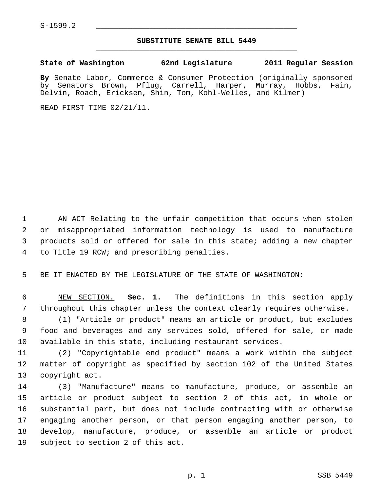## **SUBSTITUTE SENATE BILL 5449** \_\_\_\_\_\_\_\_\_\_\_\_\_\_\_\_\_\_\_\_\_\_\_\_\_\_\_\_\_\_\_\_\_\_\_\_\_\_\_\_\_\_\_\_\_

## **State of Washington 62nd Legislature 2011 Regular Session**

**By** Senate Labor, Commerce & Consumer Protection (originally sponsored by Senators Brown, Pflug, Carrell, Harper, Murray, Hobbs, Fain, Delvin, Roach, Ericksen, Shin, Tom, Kohl-Welles, and Kilmer)

READ FIRST TIME 02/21/11.

1 AN ACT Relating to the unfair competition that occurs when stolen 2 or misappropriated information technology is used to manufacture 3 products sold or offered for sale in this state; adding a new chapter 4 to Title 19 RCW; and prescribing penalties.

5 BE IT ENACTED BY THE LEGISLATURE OF THE STATE OF WASHINGTON:

 6 NEW SECTION. **Sec. 1.** The definitions in this section apply 7 throughout this chapter unless the context clearly requires otherwise.

 8 (1) "Article or product" means an article or product, but excludes 9 food and beverages and any services sold, offered for sale, or made 10 available in this state, including restaurant services.

11 (2) "Copyrightable end product" means a work within the subject 12 matter of copyright as specified by section 102 of the United States 13 copyright act.

14 (3) "Manufacture" means to manufacture, produce, or assemble an 15 article or product subject to section 2 of this act, in whole or 16 substantial part, but does not include contracting with or otherwise 17 engaging another person, or that person engaging another person, to 18 develop, manufacture, produce, or assemble an article or product 19 subject to section 2 of this act.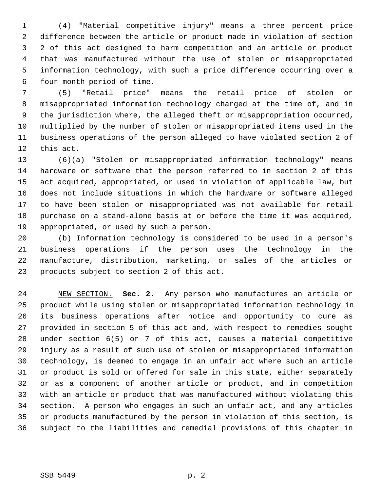1 (4) "Material competitive injury" means a three percent price 2 difference between the article or product made in violation of section 3 2 of this act designed to harm competition and an article or product 4 that was manufactured without the use of stolen or misappropriated 5 information technology, with such a price difference occurring over a 6 four-month period of time.

 7 (5) "Retail price" means the retail price of stolen or 8 misappropriated information technology charged at the time of, and in 9 the jurisdiction where, the alleged theft or misappropriation occurred, 10 multiplied by the number of stolen or misappropriated items used in the 11 business operations of the person alleged to have violated section 2 of 12 this act.

13 (6)(a) "Stolen or misappropriated information technology" means 14 hardware or software that the person referred to in section 2 of this 15 act acquired, appropriated, or used in violation of applicable law, but 16 does not include situations in which the hardware or software alleged 17 to have been stolen or misappropriated was not available for retail 18 purchase on a stand-alone basis at or before the time it was acquired, 19 appropriated, or used by such a person.

20 (b) Information technology is considered to be used in a person's 21 business operations if the person uses the technology in the 22 manufacture, distribution, marketing, or sales of the articles or 23 products subject to section 2 of this act.

24 NEW SECTION. **Sec. 2.** Any person who manufactures an article or 25 product while using stolen or misappropriated information technology in 26 its business operations after notice and opportunity to cure as 27 provided in section 5 of this act and, with respect to remedies sought 28 under section 6(5) or 7 of this act, causes a material competitive 29 injury as a result of such use of stolen or misappropriated information 30 technology, is deemed to engage in an unfair act where such an article 31 or product is sold or offered for sale in this state, either separately 32 or as a component of another article or product, and in competition 33 with an article or product that was manufactured without violating this 34 section. A person who engages in such an unfair act, and any articles 35 or products manufactured by the person in violation of this section, is 36 subject to the liabilities and remedial provisions of this chapter in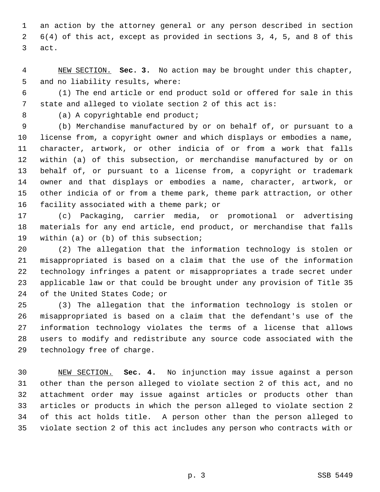1 an action by the attorney general or any person described in section 2 6(4) of this act, except as provided in sections 3, 4, 5, and 8 of this 3 act.

 4 NEW SECTION. **Sec. 3.** No action may be brought under this chapter, 5 and no liability results, where:

 6 (1) The end article or end product sold or offered for sale in this 7 state and alleged to violate section 2 of this act is:

8 (a) A copyrightable end product;

 9 (b) Merchandise manufactured by or on behalf of, or pursuant to a 10 license from, a copyright owner and which displays or embodies a name, 11 character, artwork, or other indicia of or from a work that falls 12 within (a) of this subsection, or merchandise manufactured by or on 13 behalf of, or pursuant to a license from, a copyright or trademark 14 owner and that displays or embodies a name, character, artwork, or 15 other indicia of or from a theme park, theme park attraction, or other 16 facility associated with a theme park; or

17 (c) Packaging, carrier media, or promotional or advertising 18 materials for any end article, end product, or merchandise that falls 19 within (a) or (b) of this subsection;

20 (2) The allegation that the information technology is stolen or 21 misappropriated is based on a claim that the use of the information 22 technology infringes a patent or misappropriates a trade secret under 23 applicable law or that could be brought under any provision of Title 35 24 of the United States Code; or

25 (3) The allegation that the information technology is stolen or 26 misappropriated is based on a claim that the defendant's use of the 27 information technology violates the terms of a license that allows 28 users to modify and redistribute any source code associated with the 29 technology free of charge.

30 NEW SECTION. **Sec. 4.** No injunction may issue against a person 31 other than the person alleged to violate section 2 of this act, and no 32 attachment order may issue against articles or products other than 33 articles or products in which the person alleged to violate section 2 34 of this act holds title. A person other than the person alleged to 35 violate section 2 of this act includes any person who contracts with or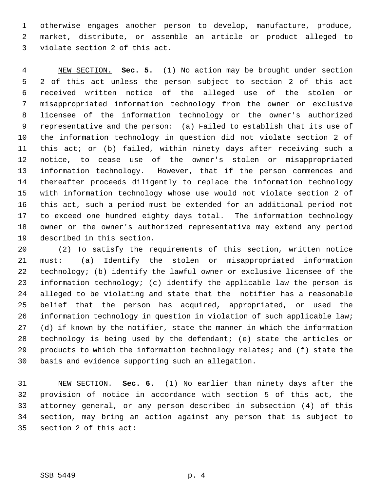1 otherwise engages another person to develop, manufacture, produce, 2 market, distribute, or assemble an article or product alleged to 3 violate section 2 of this act.

 4 NEW SECTION. **Sec. 5.** (1) No action may be brought under section 5 2 of this act unless the person subject to section 2 of this act 6 received written notice of the alleged use of the stolen or 7 misappropriated information technology from the owner or exclusive 8 licensee of the information technology or the owner's authorized 9 representative and the person: (a) Failed to establish that its use of 10 the information technology in question did not violate section 2 of 11 this act; or (b) failed, within ninety days after receiving such a 12 notice, to cease use of the owner's stolen or misappropriated 13 information technology. However, that if the person commences and 14 thereafter proceeds diligently to replace the information technology 15 with information technology whose use would not violate section 2 of 16 this act, such a period must be extended for an additional period not 17 to exceed one hundred eighty days total. The information technology 18 owner or the owner's authorized representative may extend any period 19 described in this section.

20 (2) To satisfy the requirements of this section, written notice 21 must: (a) Identify the stolen or misappropriated information 22 technology; (b) identify the lawful owner or exclusive licensee of the 23 information technology; (c) identify the applicable law the person is 24 alleged to be violating and state that the notifier has a reasonable 25 belief that the person has acquired, appropriated, or used the 26 information technology in question in violation of such applicable law; 27 (d) if known by the notifier, state the manner in which the information 28 technology is being used by the defendant; (e) state the articles or 29 products to which the information technology relates; and (f) state the 30 basis and evidence supporting such an allegation.

31 NEW SECTION. **Sec. 6.** (1) No earlier than ninety days after the 32 provision of notice in accordance with section 5 of this act, the 33 attorney general, or any person described in subsection (4) of this 34 section, may bring an action against any person that is subject to 35 section 2 of this act: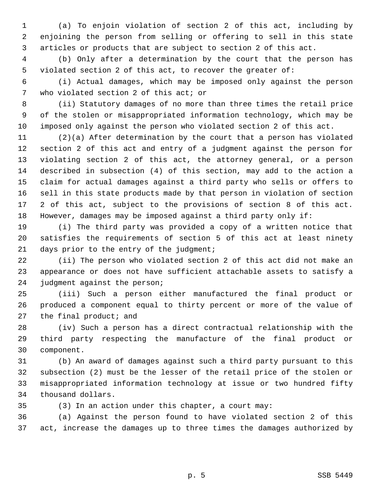1 (a) To enjoin violation of section 2 of this act, including by 2 enjoining the person from selling or offering to sell in this state 3 articles or products that are subject to section 2 of this act.

 4 (b) Only after a determination by the court that the person has 5 violated section 2 of this act, to recover the greater of:

 6 (i) Actual damages, which may be imposed only against the person 7 who violated section 2 of this act; or

 8 (ii) Statutory damages of no more than three times the retail price 9 of the stolen or misappropriated information technology, which may be 10 imposed only against the person who violated section 2 of this act.

11 (2)(a) After determination by the court that a person has violated 12 section 2 of this act and entry of a judgment against the person for 13 violating section 2 of this act, the attorney general, or a person 14 described in subsection (4) of this section, may add to the action a 15 claim for actual damages against a third party who sells or offers to 16 sell in this state products made by that person in violation of section 17 2 of this act, subject to the provisions of section 8 of this act. 18 However, damages may be imposed against a third party only if:

19 (i) The third party was provided a copy of a written notice that 20 satisfies the requirements of section 5 of this act at least ninety 21 days prior to the entry of the judgment;

22 (ii) The person who violated section 2 of this act did not make an 23 appearance or does not have sufficient attachable assets to satisfy a 24 judgment against the person;

25 (iii) Such a person either manufactured the final product or 26 produced a component equal to thirty percent or more of the value of 27 the final product; and

28 (iv) Such a person has a direct contractual relationship with the 29 third party respecting the manufacture of the final product or 30 component.

31 (b) An award of damages against such a third party pursuant to this 32 subsection (2) must be the lesser of the retail price of the stolen or 33 misappropriated information technology at issue or two hundred fifty 34 thousand dollars.

35 (3) In an action under this chapter, a court may:

36 (a) Against the person found to have violated section 2 of this 37 act, increase the damages up to three times the damages authorized by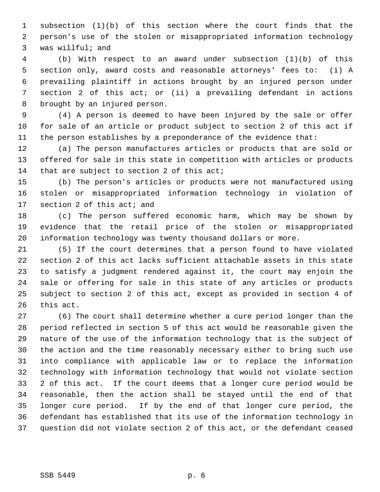1 subsection (1)(b) of this section where the court finds that the 2 person's use of the stolen or misappropriated information technology 3 was willful; and

 4 (b) With respect to an award under subsection (1)(b) of this 5 section only, award costs and reasonable attorneys' fees to: (i) A 6 prevailing plaintiff in actions brought by an injured person under 7 section 2 of this act; or (ii) a prevailing defendant in actions 8 brought by an injured person.

 9 (4) A person is deemed to have been injured by the sale or offer 10 for sale of an article or product subject to section 2 of this act if 11 the person establishes by a preponderance of the evidence that:

12 (a) The person manufactures articles or products that are sold or 13 offered for sale in this state in competition with articles or products 14 that are subject to section 2 of this act;

15 (b) The person's articles or products were not manufactured using 16 stolen or misappropriated information technology in violation of 17 section 2 of this act; and

18 (c) The person suffered economic harm, which may be shown by 19 evidence that the retail price of the stolen or misappropriated 20 information technology was twenty thousand dollars or more.

21 (5) If the court determines that a person found to have violated 22 section 2 of this act lacks sufficient attachable assets in this state 23 to satisfy a judgment rendered against it, the court may enjoin the 24 sale or offering for sale in this state of any articles or products 25 subject to section 2 of this act, except as provided in section 4 of 26 this act.

27 (6) The court shall determine whether a cure period longer than the 28 period reflected in section 5 of this act would be reasonable given the 29 nature of the use of the information technology that is the subject of 30 the action and the time reasonably necessary either to bring such use 31 into compliance with applicable law or to replace the information 32 technology with information technology that would not violate section 33 2 of this act. If the court deems that a longer cure period would be 34 reasonable, then the action shall be stayed until the end of that 35 longer cure period. If by the end of that longer cure period, the 36 defendant has established that its use of the information technology in 37 question did not violate section 2 of this act, or the defendant ceased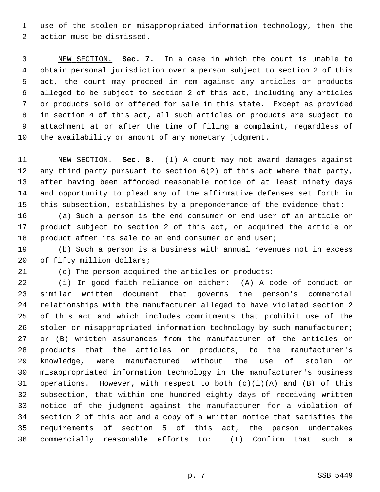1 use of the stolen or misappropriated information technology, then the 2 action must be dismissed.

 3 NEW SECTION. **Sec. 7.** In a case in which the court is unable to 4 obtain personal jurisdiction over a person subject to section 2 of this 5 act, the court may proceed in rem against any articles or products 6 alleged to be subject to section 2 of this act, including any articles 7 or products sold or offered for sale in this state. Except as provided 8 in section 4 of this act, all such articles or products are subject to 9 attachment at or after the time of filing a complaint, regardless of 10 the availability or amount of any monetary judgment.

11 NEW SECTION. **Sec. 8.** (1) A court may not award damages against 12 any third party pursuant to section 6(2) of this act where that party, 13 after having been afforded reasonable notice of at least ninety days 14 and opportunity to plead any of the affirmative defenses set forth in 15 this subsection, establishes by a preponderance of the evidence that:

16 (a) Such a person is the end consumer or end user of an article or 17 product subject to section 2 of this act, or acquired the article or 18 product after its sale to an end consumer or end user;

19 (b) Such a person is a business with annual revenues not in excess 20 of fifty million dollars;

21 (c) The person acquired the articles or products:

22 (i) In good faith reliance on either: (A) A code of conduct or 23 similar written document that governs the person's commercial 24 relationships with the manufacturer alleged to have violated section 2 25 of this act and which includes commitments that prohibit use of the 26 stolen or misappropriated information technology by such manufacturer; 27 or (B) written assurances from the manufacturer of the articles or 28 products that the articles or products, to the manufacturer's 29 knowledge, were manufactured without the use of stolen or 30 misappropriated information technology in the manufacturer's business 31 operations. However, with respect to both  $(c)(i)(A)$  and  $(B)$  of this 32 subsection, that within one hundred eighty days of receiving written 33 notice of the judgment against the manufacturer for a violation of 34 section 2 of this act and a copy of a written notice that satisfies the 35 requirements of section 5 of this act, the person undertakes 36 commercially reasonable efforts to: (I) Confirm that such a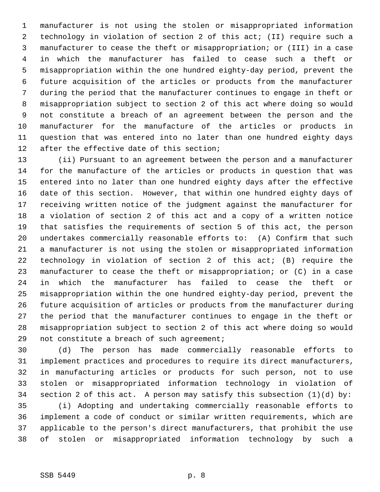1 manufacturer is not using the stolen or misappropriated information 2 technology in violation of section 2 of this act; (II) require such a 3 manufacturer to cease the theft or misappropriation; or (III) in a case 4 in which the manufacturer has failed to cease such a theft or 5 misappropriation within the one hundred eighty-day period, prevent the 6 future acquisition of the articles or products from the manufacturer 7 during the period that the manufacturer continues to engage in theft or 8 misappropriation subject to section 2 of this act where doing so would 9 not constitute a breach of an agreement between the person and the 10 manufacturer for the manufacture of the articles or products in 11 question that was entered into no later than one hundred eighty days 12 after the effective date of this section;

13 (ii) Pursuant to an agreement between the person and a manufacturer 14 for the manufacture of the articles or products in question that was 15 entered into no later than one hundred eighty days after the effective 16 date of this section. However, that within one hundred eighty days of 17 receiving written notice of the judgment against the manufacturer for 18 a violation of section 2 of this act and a copy of a written notice 19 that satisfies the requirements of section 5 of this act, the person 20 undertakes commercially reasonable efforts to: (A) Confirm that such 21 a manufacturer is not using the stolen or misappropriated information 22 technology in violation of section 2 of this act; (B) require the 23 manufacturer to cease the theft or misappropriation; or (C) in a case 24 in which the manufacturer has failed to cease the theft or 25 misappropriation within the one hundred eighty-day period, prevent the 26 future acquisition of articles or products from the manufacturer during 27 the period that the manufacturer continues to engage in the theft or 28 misappropriation subject to section 2 of this act where doing so would 29 not constitute a breach of such agreement;

30 (d) The person has made commercially reasonable efforts to 31 implement practices and procedures to require its direct manufacturers, 32 in manufacturing articles or products for such person, not to use 33 stolen or misappropriated information technology in violation of 34 section 2 of this act. A person may satisfy this subsection (1)(d) by:

35 (i) Adopting and undertaking commercially reasonable efforts to 36 implement a code of conduct or similar written requirements, which are 37 applicable to the person's direct manufacturers, that prohibit the use 38 of stolen or misappropriated information technology by such a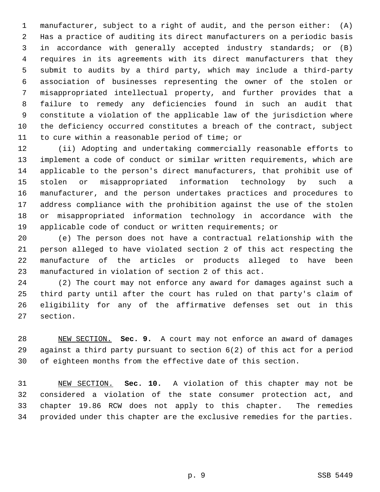1 manufacturer, subject to a right of audit, and the person either: (A) 2 Has a practice of auditing its direct manufacturers on a periodic basis 3 in accordance with generally accepted industry standards; or (B) 4 requires in its agreements with its direct manufacturers that they 5 submit to audits by a third party, which may include a third-party 6 association of businesses representing the owner of the stolen or 7 misappropriated intellectual property, and further provides that a 8 failure to remedy any deficiencies found in such an audit that 9 constitute a violation of the applicable law of the jurisdiction where 10 the deficiency occurred constitutes a breach of the contract, subject 11 to cure within a reasonable period of time; or

12 (ii) Adopting and undertaking commercially reasonable efforts to 13 implement a code of conduct or similar written requirements, which are 14 applicable to the person's direct manufacturers, that prohibit use of 15 stolen or misappropriated information technology by such a 16 manufacturer, and the person undertakes practices and procedures to 17 address compliance with the prohibition against the use of the stolen 18 or misappropriated information technology in accordance with the 19 applicable code of conduct or written requirements; or

20 (e) The person does not have a contractual relationship with the 21 person alleged to have violated section 2 of this act respecting the 22 manufacture of the articles or products alleged to have been 23 manufactured in violation of section 2 of this act.

24 (2) The court may not enforce any award for damages against such a 25 third party until after the court has ruled on that party's claim of 26 eligibility for any of the affirmative defenses set out in this 27 section.

28 NEW SECTION. **Sec. 9.** A court may not enforce an award of damages 29 against a third party pursuant to section 6(2) of this act for a period 30 of eighteen months from the effective date of this section.

31 NEW SECTION. **Sec. 10.** A violation of this chapter may not be 32 considered a violation of the state consumer protection act, and 33 chapter 19.86 RCW does not apply to this chapter. The remedies 34 provided under this chapter are the exclusive remedies for the parties.